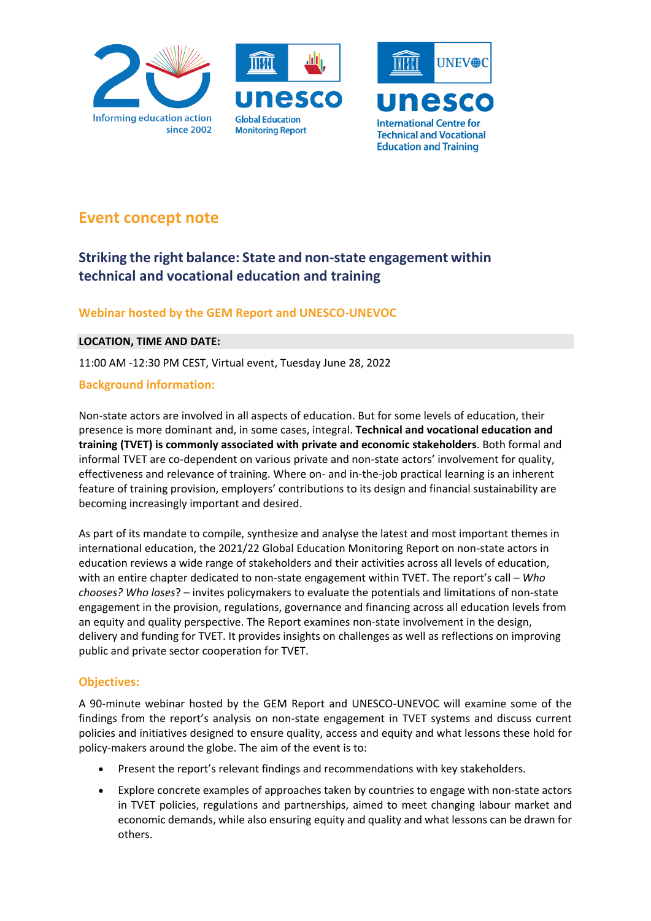





# **Event concept note**

## **Striking the right balance: State and non-state engagement within technical and vocational education and training**

## **Webinar hosted by the GEM Report and UNESCO-UNEVOC**

#### **LOCATION, TIME AND DATE:**

11:00 AM -12:30 PM CEST, Virtual event, Tuesday June 28, 2022

## **Background information:**

Non-state actors are involved in all aspects of education. But for some levels of education, their presence is more dominant and, in some cases, integral. **Technical and vocational education and training (TVET) is commonly associated with private and economic stakeholders**. Both formal and informal TVET are co-dependent on various private and non-state actors' involvement for quality, effectiveness and relevance of training. Where on- and in-the-job practical learning is an inherent feature of training provision, employers' contributions to its design and financial sustainability are becoming increasingly important and desired.

As part of its mandate to compile, synthesize and analyse the latest and most important themes in international education, the 2021/22 Global Education Monitoring Report on non-state actors in education reviews a wide range of stakeholders and their activities across all levels of education, with an entire chapter dedicated to non-state engagement within TVET. The report's call – *Who chooses? Who loses*? – invites policymakers to evaluate the potentials and limitations of non-state engagement in the provision, regulations, governance and financing across all education levels from an equity and quality perspective. The Report examines non-state involvement in the design, delivery and funding for TVET. It provides insights on challenges as well as reflections on improving public and private sector cooperation for TVET.

## **Objectives:**

A 90-minute webinar hosted by the GEM Report and UNESCO-UNEVOC will examine some of the findings from the report's analysis on non-state engagement in TVET systems and discuss current policies and initiatives designed to ensure quality, access and equity and what lessons these hold for policy-makers around the globe. The aim of the event is to:

- Present the report's relevant findings and recommendations with key stakeholders.
- Explore concrete examples of approaches taken by countries to engage with non-state actors in TVET policies, regulations and partnerships, aimed to meet changing labour market and economic demands, while also ensuring equity and quality and what lessons can be drawn for others.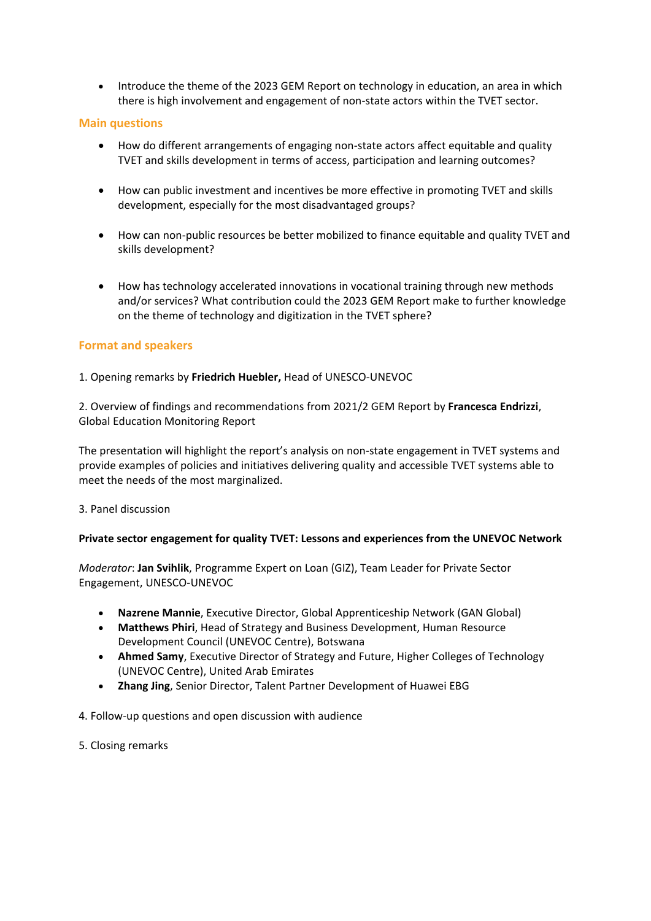• Introduce the theme of the 2023 GEM Report on technology in education, an area in which there is high involvement and engagement of non-state actors within the TVET sector.

#### **Main questions**

- How do different arrangements of engaging non-state actors affect equitable and quality TVET and skills development in terms of access, participation and learning outcomes?
- How can public investment and incentives be more effective in promoting TVET and skills development, especially for the most disadvantaged groups?
- How can non-public resources be better mobilized to finance equitable and quality TVET and skills development?
- How has technology accelerated innovations in vocational training through new methods and/or services? What contribution could the 2023 GEM Report make to further knowledge on the theme of technology and digitization in the TVET sphere?

#### **Format and speakers**

#### 1. Opening remarks by **Friedrich Huebler,** Head of UNESCO-UNEVOC

2. Overview of findings and recommendations from 2021/2 GEM Report by **Francesca Endrizzi**, Global Education Monitoring Report

The presentation will highlight the report's analysis on non-state engagement in TVET systems and provide examples of policies and initiatives delivering quality and accessible TVET systems able to meet the needs of the most marginalized.

#### 3. Panel discussion

#### **Private sector engagement for quality TVET: Lessons and experiences from the UNEVOC Network**

*Moderator*: **Jan Svihlik**, Programme Expert on Loan (GIZ), Team Leader for Private Sector Engagement, UNESCO-UNEVOC

- **Nazrene Mannie**, Executive Director, Global Apprenticeship Network (GAN Global)
- **Matthews Phiri**, Head of Strategy and Business Development, Human Resource Development Council (UNEVOC Centre), Botswana
- **Ahmed Samy**, Executive Director of Strategy and Future, Higher Colleges of Technology (UNEVOC Centre), United Arab Emirates
- **Zhang Jing**, Senior Director, Talent Partner Development of Huawei EBG

4. Follow-up questions and open discussion with audience

5. Closing remarks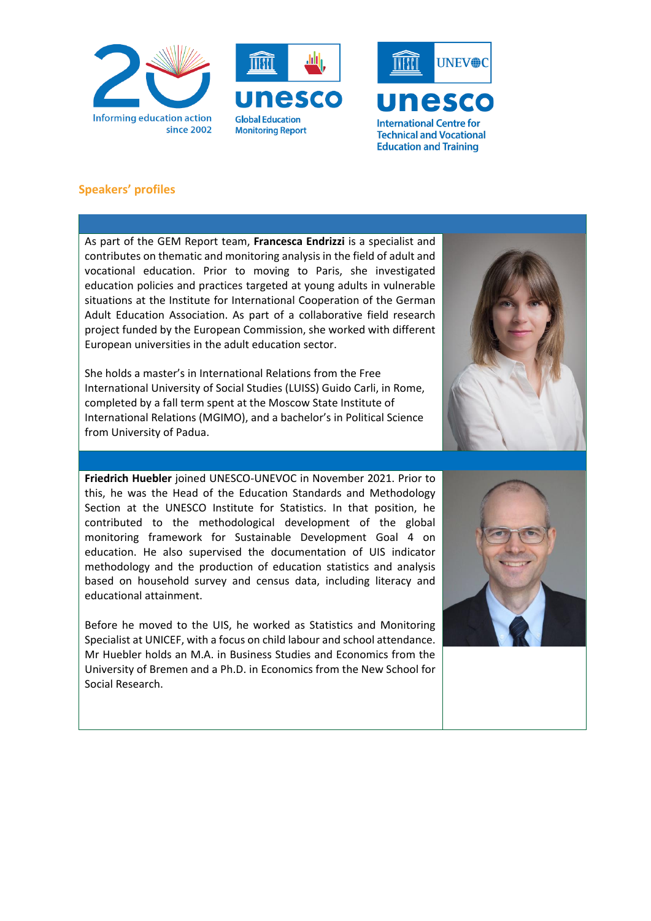





### **Speakers' profiles**

As part of the GEM Report team, **Francesca Endrizzi** is a specialist and contributes on thematic and monitoring analysis in the field of adult and vocational education. Prior to moving to Paris, she investigated education policies and practices targeted at young adults in vulnerable situations at the Institute for International Cooperation of the German Adult Education Association. As part of a collaborative field research project funded by the European Commission, she worked with different European universities in the adult education sector.

She holds a master's in International Relations from the Free International University of Social Studies (LUISS) Guido Carli, in Rome, completed by a fall term spent at the Moscow State Institute of International Relations (MGIMO), and a bachelor's in Political Science from University of Padua.

**Friedrich Huebler** joined UNESCO-UNEVOC in November 2021. Prior to this, he was the Head of the Education Standards and Methodology Section at the UNESCO Institute for Statistics. In that position, he contributed to the methodological development of the global monitoring framework for Sustainable Development Goal 4 on education. He also supervised the documentation of UIS indicator methodology and the production of education statistics and analysis based on household survey and census data, including literacy and educational attainment.

Before he moved to the UIS, he worked as Statistics and Monitoring Specialist at UNICEF, with a focus on child labour and school attendance. Mr Huebler holds an M.A. in Business Studies and Economics from the University of Bremen and a Ph.D. in Economics from the New School for Social Research.

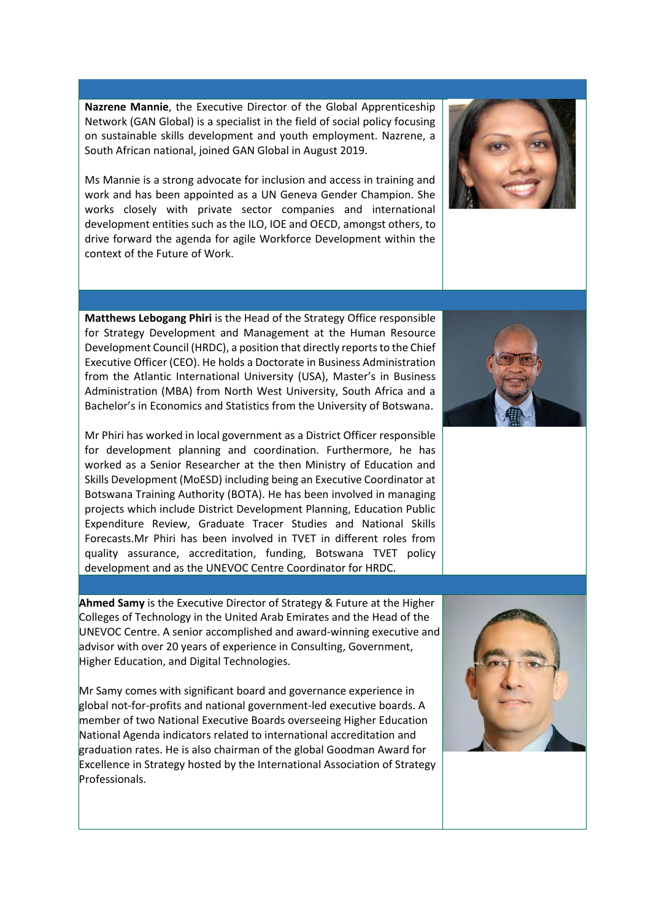**Nazrene Mannie**, the Executive Director of the Global Apprenticeship Network (GAN Global) is a specialist in the field of social policy focusing on sustainable skills development and youth employment. Nazrene, a South African national, joined GAN Global in August 2019.

Ms Mannie is a strong advocate for inclusion and access in training and work and has been appointed as a UN Geneva Gender Champion. She works closely with private sector companies and international development entities such as the ILO, IOE and OECD, amongst others, to drive forward the agenda for agile Workforce Development within the context of the Future of Work.

**Matthews Lebogang Phiri** is the Head of the Strategy Office responsible for Strategy Development and Management at the Human Resource Development Council (HRDC), a position that directly reports to the Chief Executive Officer (CEO). He holds a Doctorate in Business Administration from the Atlantic International University (USA), Master's in Business Administration (MBA) from North West University, South Africa and a Bachelor's in Economics and Statistics from the University of Botswana.

Mr Phiri has worked in local government as a District Officer responsible for development planning and coordination. Furthermore, he has worked as a Senior Researcher at the then Ministry of Education and Skills Development (MoESD) including being an Executive Coordinator at Botswana Training Authority (BOTA). He has been involved in managing projects which include District Development Planning, Education Public Expenditure Review, Graduate Tracer Studies and National Skills Forecasts.Mr Phiri has been involved in TVET in different roles from quality assurance, accreditation, funding, Botswana TVET policy development and as the UNEVOC Centre Coordinator for HRDC.

**Ahmed Samy** is the Executive Director of Strategy & Future at the Higher Colleges of Technology in the United Arab Emirates and the Head of the UNEVOC Centre. A senior accomplished and award-winning executive and advisor with over 20 years of experience in Consulting, Government, Higher Education, and Digital Technologies.

Mr Samy comes with significant board and governance experience in global not-for-profits and national government-led executive boards. A member of two National Executive Boards overseeing Higher Education National Agenda indicators related to international accreditation and graduation rates. He is also chairman of the global Goodman Award for Excellence in Strategy hosted by the International Association of Strategy Professionals.